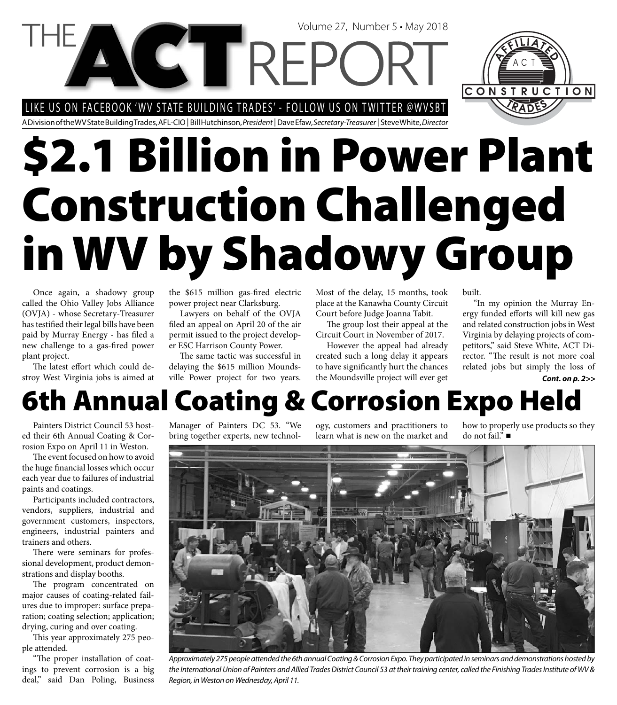# Volume 27, Number 5 • May 2018 LIKE US ON FACEBOOK 'WV STATE BUILDING TRADES' - FOLLOW US ON TWITTER @WVSBT

A Division of the WV State Building Trades, AFL-CIO | Bill Hutchinson, President | Dave Efaw, Secretary-Treasurer | Steve White, Director

# **\$2.1 Billion in Power Plant Construction Challenged in WV by Shadowy Group**

Once again, a shadowy group called the Ohio Valley Jobs Alliance (OVJA) - whose Secretary-Treasurer has testified their legal bills have been paid by Murray Energy - has filed a new challenge to a gas-fired power plant project.

The latest effort which could destroy West Virginia jobs is aimed at the \$615 million gas-fired electric power project near Clarksburg.

Lawyers on behalf of the OVJA filed an appeal on April 20 of the air permit issued to the project developer ESC Harrison County Power.

The same tactic was successful in delaying the \$615 million Moundsville Power project for two years.

Most of the delay, 15 months, took place at the Kanawha County Circuit Court before Judge Joanna Tabit.

The group lost their appeal at the Circuit Court in November of 2017.

However the appeal had already created such a long delay it appears to have significantly hurt the chances the Moundsville project will ever get

built.

"In my opinion the Murray Energy funded efforts will kill new gas and related construction jobs in West Virginia by delaying projects of competitors," said Steve White, ACT Director. "The result is not more coal related jobs but simply the loss of

#### *Cont. on p. 2>>*

# **6th Annual Coating & Corrosion Expo Held**

Painters District Council 53 hosted their 6th Annual Coating & Corrosion Expo on April 11 in Weston.

The event focused on how to avoid the huge financial losses which occur each year due to failures of industrial paints and coatings.

Participants included contractors, vendors, suppliers, industrial and government customers, inspectors, engineers, industrial painters and trainers and others.

There were seminars for professional development, product demonstrations and display booths.

The program concentrated on major causes of coating-related failures due to improper: surface preparation; coating selection; application; drying, curing and over coating.

This year approximately 275 people attended.

"The proper installation of coatings to prevent corrosion is a big deal," said Dan Poling, Business Manager of Painters DC 53. "We bring together experts, new technol-

ogy, customers and practitioners to learn what is new on the market and

how to properly use products so they do not fail."



Approximately 275 people attended the 6th annual Coating & Corrosion Expo. They participated in seminars and demonstrations hosted by the International Union of Painters and Allied Trades District Council 53 at their training center, called the Finishing Trades Institute of WV & Region, in Weston on Wednesday, April 11.

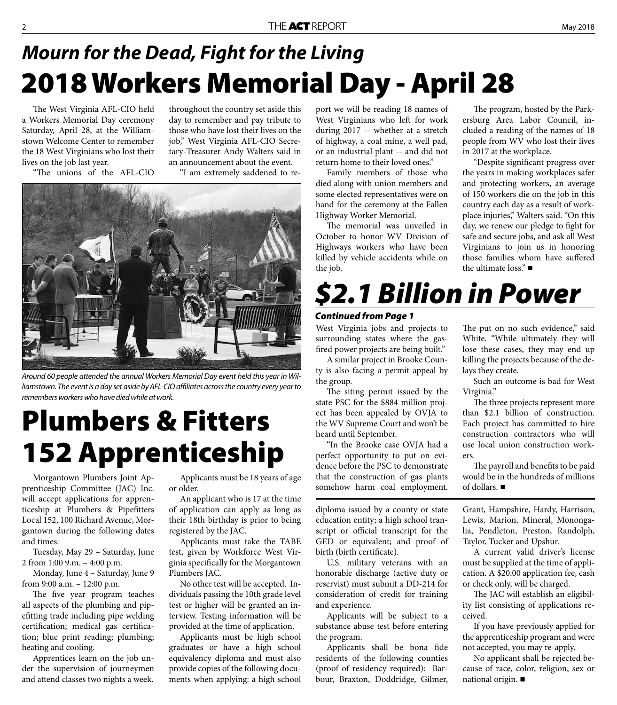#### **2018 Workers Memorial Day - April 28** *Mourn for the Dead, Fight for the Living*

The West Virginia AFL-CIO held a Workers Memorial Day ceremony Saturday, April 28, at the Williamstown Welcome Center to remember the 18 West Virginians who lost their lives on the job last year.

throughout the country set aside this day to remember and pay tribute to those who have lost their lives on the job," West Virginia AFL-CIO Secretary-Treasurer Andy Walters said in an announcement about the event.

"The unions of the AFL-CIO

"I am extremely saddened to re-



Around 60 people attended the annual Workers Memorial Day event held this year in Williamstown. The event is a day set aside by AFL-CIO affiliates across the country every year to remembers workers who have died while at work.

## **Plumbers & Fitters 152 Apprenticeship**

Morgantown Plumbers Joint Apprenticeship Committee (JAC) Inc. will accept applications for apprenticeship at Plumbers & Pipefitters Local 152, 100 Richard Avenue, Morgantown during the following dates and times:

Tuesday, May 29 – Saturday, June 2 from 1:00 9.m. – 4:00 p.m.

Monday, June 4 – Saturday, June 9 from 9:00 a.m. – 12:00 p.m.

The five year program teaches all aspects of the plumbing and pipefitting trade including pipe welding certification; medical gas certification; blue print reading; plumbing; heating and cooling.

Apprentices learn on the job under the supervision of journeymen and attend classes two nights a week.

Applicants must be 18 years of age or older.

An applicant who is 17 at the time of application can apply as long as their 18th birthday is prior to being registered by the JAC.

Applicants must take the TABE test, given by Workforce West Virginia specifically for the Morgantown Plumbers JAC.

No other test will be accepted. Individuals passing the 10th grade level test or higher will be granted an interview. Testing information will be provided at the time of application.

Applicants must be high school graduates or have a high school equivalency diploma and must also provide copies of the following documents when applying: a high school

port we will be reading 18 names of West Virginians who left for work during 2017 -- whether at a stretch of highway, a coal mine, a well pad, or an industrial plant -- and did not return home to their loved ones."

Family members of those who died along with union members and some elected representatives were on hand for the ceremony at the Fallen Highway Worker Memorial.

The memorial was unveiled in October to honor WV Division of Highways workers who have been killed by vehicle accidents while on the job.

The program, hosted by the Parkersburg Area Labor Council, included a reading of the names of 18 people from WV who lost their lives in 2017 at the workplace.

"Despite significant progress over the years in making workplaces safer and protecting workers, an average of 150 workers die on the job in this country each day as a result of workplace injuries," Walters said. "On this day, we renew our pledge to fight for safe and secure jobs, and ask all West Virginians to join us in honoring those families whom have suffered the ultimate loss." $\blacksquare$ 

## *\$2.1 Billion in Power*

#### *Continued from Page 1*

West Virginia jobs and projects to surrounding states where the gasfired power projects are being built."

A similar project in Brooke County is also facing a permit appeal by the group.

The siting permit issued by the state PSC for the \$884 million project has been appealed by OVJA to the WV Supreme Court and won't be heard until September.

"In the Brooke case OVJA had a perfect opportunity to put on evidence before the PSC to demonstrate that the construction of gas plants somehow harm coal employment.

diploma issued by a county or state education entity; a high school transcript or official transcript for the GED or equivalent; and proof of birth (birth certificate).

U.S. military veterans with an honorable discharge (active duty or reservist) must submit a DD-214 for consideration of credit for training and experience.

Applicants will be subject to a substance abuse test before entering the program.

Applicants shall be bona fide residents of the following counties (proof of residency required): Barbour, Braxton, Doddridge, Gilmer,

The put on no such evidence," said White. "While ultimately they will lose these cases, they may end up killing the projects because of the delays they create.

Such an outcome is bad for West Virginia."

The three projects represent more than \$2.1 billion of construction. Each project has committed to hire construction contractors who will use local union construction workers.

The payroll and benefits to be paid would be in the hundreds of millions of dollars.

Grant, Hampshire, Hardy, Harrison, Lewis, Marion, Mineral, Monongalia, Pendleton, Preston, Randolph, Taylor, Tucker and Upshur.

A current valid driver's license must be supplied at the time of application. A \$20.00 application fee, cash or check only, will be charged.

The JAC will establish an eligibility list consisting of applications received.

If you have previously applied for the apprenticeship program and were not accepted, you may re-apply.

No applicant shall be rejected because of race, color, religion, sex or national origin.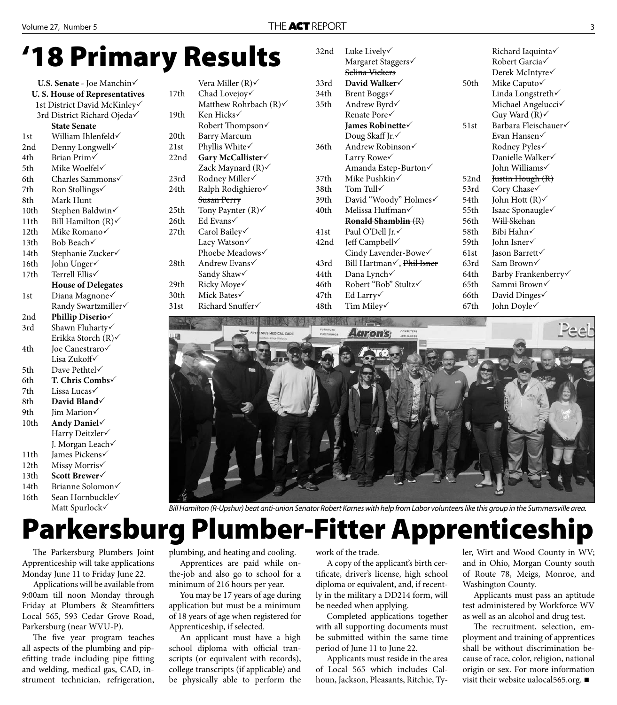### **'18 Primary Results**

| U.S. Senate - Joe Manchin            |                           |  |  |  |
|--------------------------------------|---------------------------|--|--|--|
| <b>U.S. House of Representatives</b> |                           |  |  |  |
| 1st District David McKinley√         |                           |  |  |  |
| 3rd District Richard Ojeda√          |                           |  |  |  |
| <b>State Senate</b>                  |                           |  |  |  |
| 1st                                  | William Ihlenfeld√        |  |  |  |
| 2nd                                  | Denny Longwell            |  |  |  |
| 4th                                  | Brian Prim√               |  |  |  |
| 5th                                  | Mike Woelfel√             |  |  |  |
| 6th                                  | Charles Sammons√          |  |  |  |
| 7th                                  | Ron Stollings√            |  |  |  |
| 8th                                  | <del>Mark Hunt</del>      |  |  |  |
| 10th                                 | Stephen Baldwin√          |  |  |  |
| 11th                                 | Bill Hamilton (R)√        |  |  |  |
| 12th                                 | Mike Romano               |  |  |  |
| 13th                                 | Bob Beach√                |  |  |  |
| 14th                                 | Stephanie Zucker√         |  |  |  |
| 16th                                 | John Unger√               |  |  |  |
| 17th                                 | Terrell Ellis√            |  |  |  |
|                                      | <b>House of Delegates</b> |  |  |  |
| 1st                                  | Diana Magnone√            |  |  |  |
|                                      | Randy Swartzmiller√       |  |  |  |
| 2nd                                  | Phillip Diserio           |  |  |  |
| 3rd                                  | Shawn Fluharty√           |  |  |  |
|                                      | Erikka Storch (R)√        |  |  |  |
| 4th                                  | Joe Canestraro√           |  |  |  |
|                                      | Lisa Zukoff√              |  |  |  |
| 5th                                  | Dave Pethtel√             |  |  |  |
| 6th                                  | T. Chris Combs            |  |  |  |
| 7th                                  | Lissa Lucas√              |  |  |  |
| 8th                                  | David Bland               |  |  |  |
| 9th                                  | Jim Marion√               |  |  |  |
| 10th                                 | Andy Daniel               |  |  |  |
|                                      | Harry Deitzler            |  |  |  |
|                                      | J. Morgan Leach√          |  |  |  |
| 11th                                 | James Pickens√            |  |  |  |
| 12th                                 | Missy Morris√             |  |  |  |
| 13th                                 | Scott Brewer√             |  |  |  |
| 14th                                 | Brianne Solomon           |  |  |  |
| 16th                                 | Sean Hornbuckle√          |  |  |  |

Matt Spurlock $\checkmark$ 

|      | Matthew Rohrbach $(R)$    |  |  |
|------|---------------------------|--|--|
| 19th | Ken Hicks√                |  |  |
|      | Robert Thompson√          |  |  |
| 20th | Barry Marcum              |  |  |
| 21st | Phyllis White√            |  |  |
| 22nd | Gary McCallister√         |  |  |
|      | Zack Maynard $(R)$        |  |  |
| 23rd | Rodney Miller√            |  |  |
| 24th | Ralph Rodighiero√         |  |  |
|      | Susan Perry               |  |  |
| 25th | Tony Paynter $(R)$        |  |  |
| 26th | Ed Evans√                 |  |  |
| 27th | Carol Bailey√             |  |  |
|      | Lacy Watson√              |  |  |
|      | Phoebe Meadows√           |  |  |
| 28th | Andrew Evans $\checkmark$ |  |  |
|      | Sandy Shaw√               |  |  |
| 29th | Ricky Moye√               |  |  |
| 30th | Mick Bates $\checkmark$   |  |  |
| 31st | Richard Snuffer√          |  |  |

Vera Miller (R)

17th Chad Lovejoy√

| 32nd | Luke Lively√                |      | Richard Iaquinta√           |
|------|-----------------------------|------|-----------------------------|
|      | Margaret Staggers√          |      | Robert Garcia√              |
|      | Selina Vickers              |      | Derek McIntyre√             |
| 33rd | David Walker√               | 50th | Mike Caputo√                |
| 34th | Brent Boggs√                |      | Linda Longstreth√           |
| 35th | Andrew Byrd√                |      | Michael Angelucci√          |
|      | Renate Pore√                |      | Guy Ward $(R)$ $\checkmark$ |
|      | James Robinette√            | 51st | Barbara Fleischauer√        |
|      | Doug Skaff Jr. $\checkmark$ |      | Evan Hansen√                |
| 36th | Andrew Robinson√            |      | Rodney Pyles√               |
|      | Larry Rowe√                 |      | Danielle Walker√            |
|      | Amanda Estep-Burton√        |      | John Williams√              |
| 37th | Mike Pushkin√               | 52nd | Justin Hough (R)            |
| 38th | Tom Tull√                   | 53rd | Cory Chase√                 |
| 39th | David "Woody" Holmes√       | 54th | John Hott $(R)$             |
| 40th | Melissa Huffman√            | 55th | Isaac Sponaugle√            |
|      | Ronald Shamblin (R)         | 56th | Will Skehan                 |
| 41st | Paul O'Dell Jr.√            | 58th | Bibi Hahn√                  |
| 42nd | Jeff Campbell√              | 59th | John Isner√                 |
|      | Cindy Lavender-Bowe√        | 61st | Jason Barrett√              |
| 43rd | Bill Hartman√, Phil Isner   | 63rd | Sam Brown√                  |
| 44th | Dana Lynch√                 | 64th | Barby Frankenberry√         |
| 46th | Robert "Bob" Stultz√        | 65th | Sammi Brown√                |
| 47th | Ed Larry√                   | 66th | David Dinges√               |
| 48th | Tim Miley√                  | 67th | John Doyle√                 |



Bill Hamilton (R-Upshur) beat anti-union Senator Robert Karnes with help from Labor volunteers like this group in the Summersville area.

### **Parkersburg Plumber-Fitter Apprenticeship**

The Parkersburg Plumbers Joint Apprenticeship will take applications Monday June 11 to Friday June 22.

Applications will be available from 9:00am till noon Monday through Friday at Plumbers & Steamfitters Local 565, 593 Cedar Grove Road, Parkersburg (near WVU-P).

The five year program teaches all aspects of the plumbing and pipefitting trade including pipe fitting and welding, medical gas, CAD, instrument technician, refrigeration, plumbing, and heating and cooling.

Apprentices are paid while onthe-job and also go to school for a minimum of 216 hours per year.

You may be 17 years of age during application but must be a minimum of 18 years of age when registered for Apprenticeship, if selected.

An applicant must have a high school diploma with official transcripts (or equivalent with records), college transcripts (if applicable) and be physically able to perform the work of the trade.

A copy of the applicant's birth certificate, driver's license, high school diploma or equivalent, and, if recently in the military a DD214 form, will be needed when applying.

Completed applications together with all supporting documents must be submitted within the same time period of June 11 to June 22.

Applicants must reside in the area of Local 565 which includes Calhoun, Jackson, Pleasants, Ritchie, Tyler, Wirt and Wood County in WV; and in Ohio, Morgan County south of Route 78, Meigs, Monroe, and Washington County.

Applicants must pass an aptitude test administered by Workforce WV as well as an alcohol and drug test.

The recruitment, selection, employment and training of apprentices shall be without discrimination because of race, color, religion, national origin or sex. For more information visit their website ualocal565.org. ■